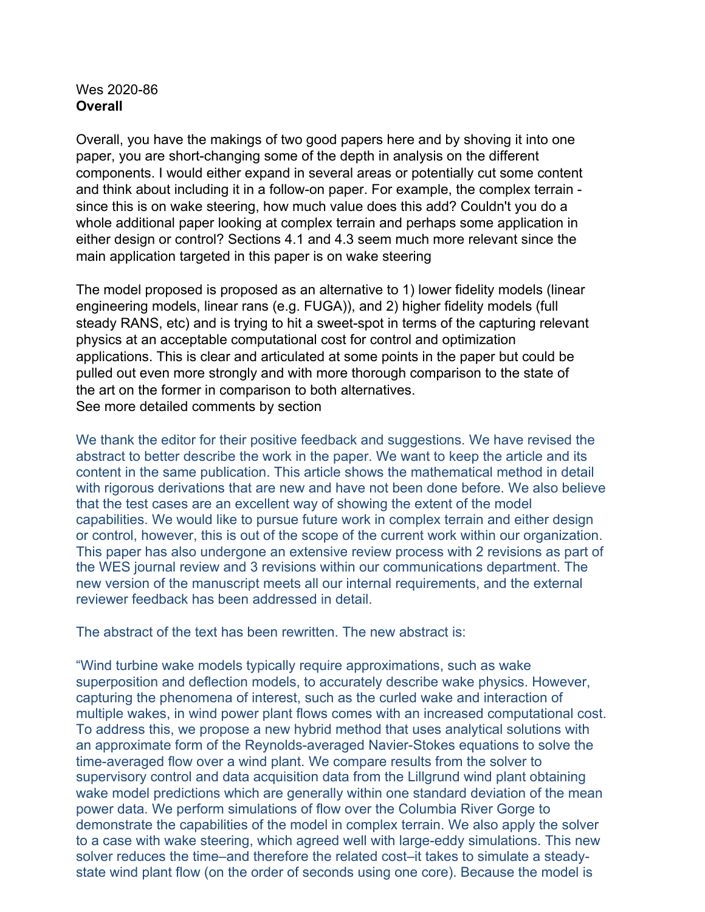## Wes 2020-86 **Overall**

Overall, you have the makings of two good papers here and by shoving it into one paper, you are short-changing some of the depth in analysis on the different components. I would either expand in several areas or potentially cut some content and think about including it in a follow-on paper. For example, the complex terrain since this is on wake steering, how much value does this add? Couldn't you do a whole additional paper looking at complex terrain and perhaps some application in either design or control? Sections 4.1 and 4.3 seem much more relevant since the main application targeted in this paper is on wake steering

The model proposed is proposed as an alternative to 1) lower fidelity models (linear engineering models, linear rans (e.g. FUGA)), and 2) higher fidelity models (full steady RANS, etc) and is trying to hit a sweet-spot in terms of the capturing relevant physics at an acceptable computational cost for control and optimization applications. This is clear and articulated at some points in the paper but could be pulled out even more strongly and with more thorough comparison to the state of the art on the former in comparison to both alternatives. See more detailed comments by section

We thank the editor for their positive feedback and suggestions. We have revised the abstract to better describe the work in the paper. We want to keep the article and its content in the same publication. This article shows the mathematical method in detail with rigorous derivations that are new and have not been done before. We also believe that the test cases are an excellent way of showing the extent of the model capabilities. We would like to pursue future work in complex terrain and either design or control, however, this is out of the scope of the current work within our organization. This paper has also undergone an extensive review process with 2 revisions as part of the WES journal review and 3 revisions within our communications department. The new version of the manuscript meets all our internal requirements, and the external reviewer feedback has been addressed in detail.

The abstract of the text has been rewritten. The new abstract is:

"Wind turbine wake models typically require approximations, such as wake superposition and deflection models, to accurately describe wake physics. However, capturing the phenomena of interest, such as the curled wake and interaction of multiple wakes, in wind power plant flows comes with an increased computational cost. To address this, we propose a new hybrid method that uses analytical solutions with an approximate form of the Reynolds-averaged Navier-Stokes equations to solve the time-averaged flow over a wind plant. We compare results from the solver to supervisory control and data acquisition data from the Lillgrund wind plant obtaining wake model predictions which are generally within one standard deviation of the mean power data. We perform simulations of flow over the Columbia River Gorge to demonstrate the capabilities of the model in complex terrain. We also apply the solver to a case with wake steering, which agreed well with large-eddy simulations. This new solver reduces the time–and therefore the related cost–it takes to simulate a steadystate wind plant flow (on the order of seconds using one core). Because the model is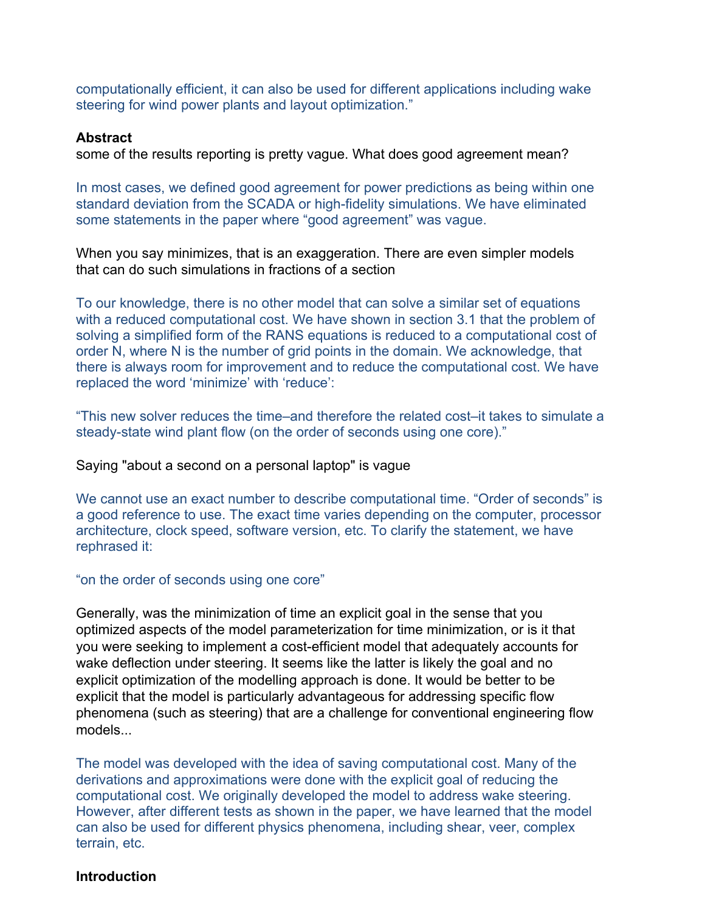computationally efficient, it can also be used for different applications including wake steering for wind power plants and layout optimization."

### **Abstract**

some of the results reporting is pretty vague. What does good agreement mean?

In most cases, we defined good agreement for power predictions as being within one standard deviation from the SCADA or high-fidelity simulations. We have eliminated some statements in the paper where "good agreement" was vague.

When you say minimizes, that is an exaggeration. There are even simpler models that can do such simulations in fractions of a section

To our knowledge, there is no other model that can solve a similar set of equations with a reduced computational cost. We have shown in section 3.1 that the problem of solving a simplified form of the RANS equations is reduced to a computational cost of order N, where N is the number of grid points in the domain. We acknowledge, that there is always room for improvement and to reduce the computational cost. We have replaced the word 'minimize' with 'reduce':

"This new solver reduces the time–and therefore the related cost–it takes to simulate a steady-state wind plant flow (on the order of seconds using one core)."

#### Saying "about a second on a personal laptop" is vague

We cannot use an exact number to describe computational time. "Order of seconds" is a good reference to use. The exact time varies depending on the computer, processor architecture, clock speed, software version, etc. To clarify the statement, we have rephrased it:

### "on the order of seconds using one core"

Generally, was the minimization of time an explicit goal in the sense that you optimized aspects of the model parameterization for time minimization, or is it that you were seeking to implement a cost-efficient model that adequately accounts for wake deflection under steering. It seems like the latter is likely the goal and no explicit optimization of the modelling approach is done. It would be better to be explicit that the model is particularly advantageous for addressing specific flow phenomena (such as steering) that are a challenge for conventional engineering flow models...

The model was developed with the idea of saving computational cost. Many of the derivations and approximations were done with the explicit goal of reducing the computational cost. We originally developed the model to address wake steering. However, after different tests as shown in the paper, we have learned that the model can also be used for different physics phenomena, including shear, veer, complex terrain, etc.

### **Introduction**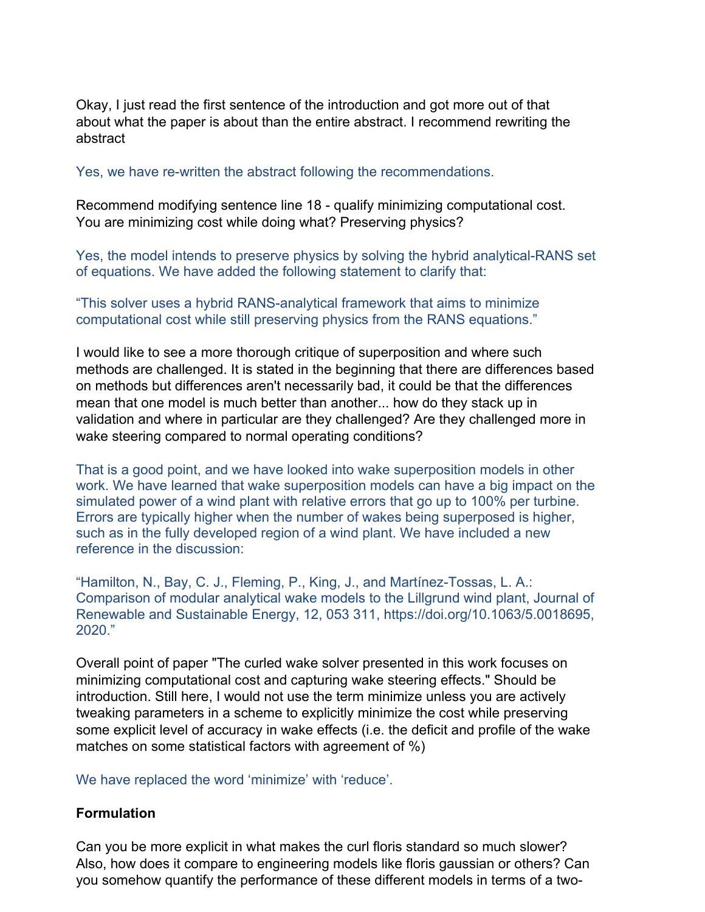Okay, I just read the first sentence of the introduction and got more out of that about what the paper is about than the entire abstract. I recommend rewriting the abstract

Yes, we have re-written the abstract following the recommendations.

Recommend modifying sentence line 18 - qualify minimizing computational cost. You are minimizing cost while doing what? Preserving physics?

Yes, the model intends to preserve physics by solving the hybrid analytical-RANS set of equations. We have added the following statement to clarify that:

"This solver uses a hybrid RANS-analytical framework that aims to minimize computational cost while still preserving physics from the RANS equations."

I would like to see a more thorough critique of superposition and where such methods are challenged. It is stated in the beginning that there are differences based on methods but differences aren't necessarily bad, it could be that the differences mean that one model is much better than another... how do they stack up in validation and where in particular are they challenged? Are they challenged more in wake steering compared to normal operating conditions?

That is a good point, and we have looked into wake superposition models in other work. We have learned that wake superposition models can have a big impact on the simulated power of a wind plant with relative errors that go up to 100% per turbine. Errors are typically higher when the number of wakes being superposed is higher, such as in the fully developed region of a wind plant. We have included a new reference in the discussion:

"Hamilton, N., Bay, C. J., Fleming, P., King, J., and Martínez-Tossas, L. A.: Comparison of modular analytical wake models to the Lillgrund wind plant, Journal of Renewable and Sustainable Energy, 12, 053 311, https://doi.org/10.1063/5.0018695, 2020."

Overall point of paper "The curled wake solver presented in this work focuses on minimizing computational cost and capturing wake steering effects." Should be introduction. Still here, I would not use the term minimize unless you are actively tweaking parameters in a scheme to explicitly minimize the cost while preserving some explicit level of accuracy in wake effects (i.e. the deficit and profile of the wake matches on some statistical factors with agreement of %)

We have replaced the word 'minimize' with 'reduce'.

## **Formulation**

Can you be more explicit in what makes the curl floris standard so much slower? Also, how does it compare to engineering models like floris gaussian or others? Can you somehow quantify the performance of these different models in terms of a two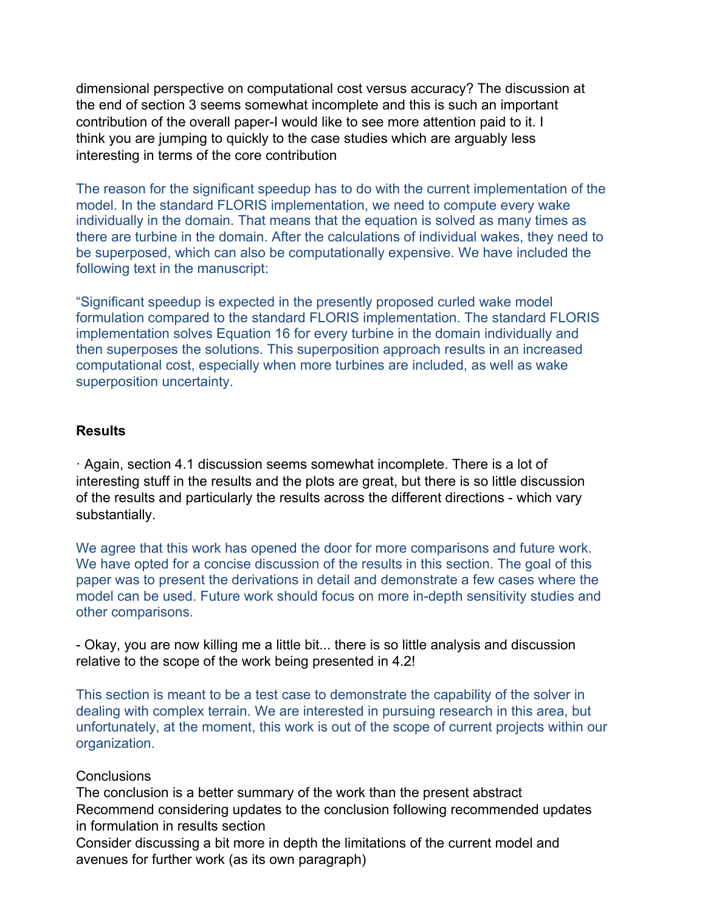dimensional perspective on computational cost versus accuracy? The discussion at the end of section 3 seems somewhat incomplete and this is such an important contribution of the overall paper-I would like to see more attention paid to it. I think you are jumping to quickly to the case studies which are arguably less interesting in terms of the core contribution

The reason for the significant speedup has to do with the current implementation of the model. In the standard FLORIS implementation, we need to compute every wake individually in the domain. That means that the equation is solved as many times as there are turbine in the domain. After the calculations of individual wakes, they need to be superposed, which can also be computationally expensive. We have included the following text in the manuscript:

"Significant speedup is expected in the presently proposed curled wake model formulation compared to the standard FLORIS implementation. The standard FLORIS implementation solves Equation 16 for every turbine in the domain individually and then superposes the solutions. This superposition approach results in an increased computational cost, especially when more turbines are included, as well as wake superposition uncertainty.

## **Results**

· Again, section 4.1 discussion seems somewhat incomplete. There is a lot of interesting stuff in the results and the plots are great, but there is so little discussion of the results and particularly the results across the different directions - which vary substantially.

We agree that this work has opened the door for more comparisons and future work. We have opted for a concise discussion of the results in this section. The goal of this paper was to present the derivations in detail and demonstrate a few cases where the model can be used. Future work should focus on more in-depth sensitivity studies and other comparisons.

- Okay, you are now killing me a little bit... there is so little analysis and discussion relative to the scope of the work being presented in 4.2!

This section is meant to be a test case to demonstrate the capability of the solver in dealing with complex terrain. We are interested in pursuing research in this area, but unfortunately, at the moment, this work is out of the scope of current projects within our organization.

# Conclusions

The conclusion is a better summary of the work than the present abstract Recommend considering updates to the conclusion following recommended updates in formulation in results section

Consider discussing a bit more in depth the limitations of the current model and avenues for further work (as its own paragraph)